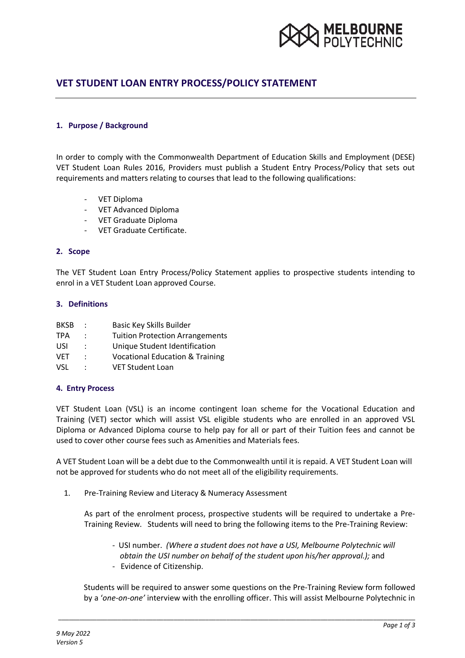

# **VET STUDENT LOAN ENTRY PROCESS/POLICY STATEMENT**

### **1. Purpose / Background**

In order to comply with the Commonwealth Department of Education Skills and Employment (DESE) VET Student Loan Rules 2016, Providers must publish a Student Entry Process/Policy that sets out requirements and matters relating to courses that lead to the following qualifications:

- VET Diploma
- VET Advanced Diploma
- VET Graduate Diploma
- VET Graduate Certificate.

#### **2. Scope**

The VET Student Loan Entry Process/Policy Statement applies to prospective students intending to enrol in a VET Student Loan approved Course.

#### **3. Definitions**

| <b>BKSB</b> | $\ddot{\phantom{a}}$ | Basic Key Skills Builder                   |
|-------------|----------------------|--------------------------------------------|
| <b>TPA</b>  | ÷                    | <b>Tuition Protection Arrangements</b>     |
| USI         | $\ddot{\phantom{0}}$ | Unique Student Identification              |
| <b>VET</b>  | $\ddot{\phantom{a}}$ | <b>Vocational Education &amp; Training</b> |
| VSL.        | ÷                    | <b>VET Student Loan</b>                    |

#### **4. Entry Process**

VET Student Loan (VSL) is an income contingent loan scheme for the Vocational Education and Training (VET) sector which will assist VSL eligible students who are enrolled in an approved VSL Diploma or Advanced Diploma course to help pay for all or part of their Tuition fees and cannot be used to cover other course fees such as Amenities and Materials fees.

A VET Student Loan will be a debt due to the Commonwealth until it is repaid. A VET Student Loan will not be approved for students who do not meet all of the eligibility requirements.

1. Pre-Training Review and Literacy & Numeracy Assessment

As part of the enrolment process, prospective students will be required to undertake a Pre-Training Review. Students will need to bring the following items to the Pre-Training Review:

- USI number. *(Where a student does not have a USI, Melbourne Polytechnic will obtain the USI number on behalf of the student upon his/her approval.);* and - Evidence of Citizenship.

Students will be required to answer some questions on the Pre-Training Review form followed by a '*one-on-one'* interview with the enrolling officer. This will assist Melbourne Polytechnic in

\_\_\_\_\_\_\_\_\_\_\_\_\_\_\_\_\_\_\_\_\_\_\_\_\_\_\_\_\_\_\_\_\_\_\_\_\_\_\_\_\_\_\_\_\_\_\_\_\_\_\_\_\_\_\_\_\_\_\_\_\_\_\_\_\_\_\_\_\_\_\_\_\_\_\_\_\_\_\_\_\_\_\_\_\_\_\_\_\_\_\_\_\_\_\_\_\_\_\_\_\_\_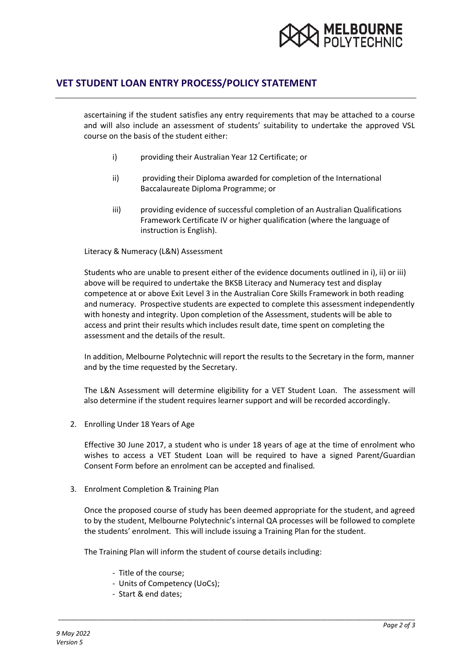

### **VET STUDENT LOAN ENTRY PROCESS/POLICY STATEMENT**

ascertaining if the student satisfies any entry requirements that may be attached to a course and will also include an assessment of students' suitability to undertake the approved VSL course on the basis of the student either:

- i) providing their Australian Year 12 Certificate; or
- ii) providing their Diploma awarded for completion of the International Baccalaureate Diploma Programme; or
- iii) providing evidence of successful completion of an Australian Qualifications Framework Certificate IV or higher qualification (where the language of instruction is English).

Literacy & Numeracy (L&N) Assessment

Students who are unable to present either of the evidence documents outlined in i), ii) or iii) above will be required to undertake the BKSB Literacy and Numeracy test and display competence at or above Exit Level 3 in the Australian Core Skills Framework in both reading and numeracy. Prospective students are expected to complete this assessment independently with honesty and integrity. Upon completion of the Assessment, students will be able to access and print their results which includes result date, time spent on completing the assessment and the details of the result.

In addition, Melbourne Polytechnic will report the results to the Secretary in the form, manner and by the time requested by the Secretary.

The L&N Assessment will determine eligibility for a VET Student Loan. The assessment will also determine if the student requires learner support and will be recorded accordingly.

2. Enrolling Under 18 Years of Age

Effective 30 June 2017, a student who is under 18 years of age at the time of enrolment who wishes to access a VET Student Loan will be required to have a signed Parent/Guardian Consent Form before an enrolment can be accepted and finalised.

3. Enrolment Completion & Training Plan

Once the proposed course of study has been deemed appropriate for the student, and agreed to by the student, Melbourne Polytechnic's internal QA processes will be followed to complete the students' enrolment. This will include issuing a Training Plan for the student.

\_\_\_\_\_\_\_\_\_\_\_\_\_\_\_\_\_\_\_\_\_\_\_\_\_\_\_\_\_\_\_\_\_\_\_\_\_\_\_\_\_\_\_\_\_\_\_\_\_\_\_\_\_\_\_\_\_\_\_\_\_\_\_\_\_\_\_\_\_\_\_\_\_\_\_\_\_\_\_\_\_\_\_\_\_\_\_\_\_\_\_\_\_\_\_\_\_\_\_\_\_\_

The Training Plan will inform the student of course details including:

- Title of the course;
- Units of Competency (UoCs);
- Start & end dates;